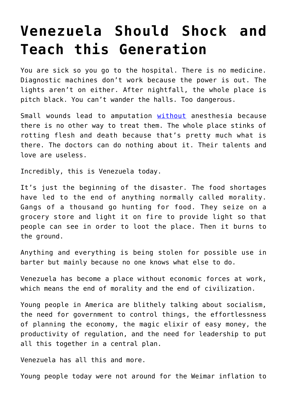## **[Venezuela Should Shock and](https://intellectualtakeout.org/2019/04/venezuela-should-shock-and-teach-this-generation/) [Teach this Generation](https://intellectualtakeout.org/2019/04/venezuela-should-shock-and-teach-this-generation/)**

You are sick so you go to the hospital. There is no medicine. Diagnostic machines don't work because the power is out. The lights aren't on either. After nightfall, the whole place is pitch black. You can't wander the halls. Too dangerous.

Small wounds lead to amputation [without](https://nypost.com/2018/03/08/sick-venezuelans-flee-to-colombia-in-growing-refugee-crisis/) anesthesia because there is no other way to treat them. The whole place stinks of rotting flesh and death because that's pretty much what is there. The doctors can do nothing about it. Their talents and love are useless.

Incredibly, this is Venezuela today.

It's just the beginning of the disaster. The food shortages have led to the end of anything normally called morality. Gangs of a thousand go hunting for food. They seize on a grocery store and light it on fire to provide light so that people can see in order to loot the place. Then it burns to the ground.

Anything and everything is being stolen for possible use in barter but mainly because no one knows what else to do.

Venezuela has become a place without economic forces at work, which means the end of morality and the end of civilization.

Young people in America are blithely talking about socialism, the need for government to control things, the effortlessness of planning the economy, the magic elixir of easy money, the productivity of regulation, and the need for leadership to put all this together in a central plan.

Venezuela has all this and more.

Young people today were not around for the Weimar inflation to